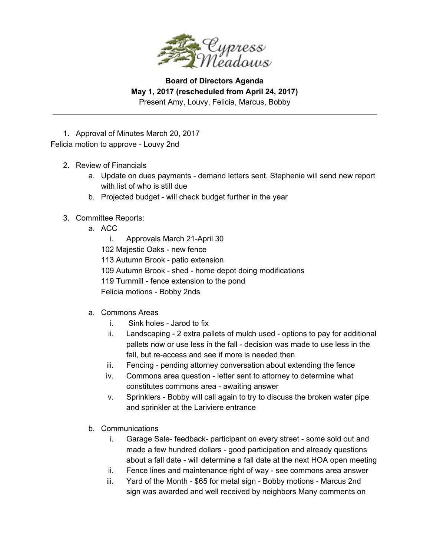

1. Approval of Minutes March 20, 2017 Felicia motion to approve - Louvy 2nd

- 2. Review of Financials
	- a. Update on dues payments demand letters sent. Stephenie will send new report with list of who is still due
	- b. Projected budget will check budget further in the year
- 3. Committee Reports:
	- a. ACC
		- i. Approvals March 21-April 30 102 Majestic Oaks - new fence 113 Autumn Brook - patio extension 109 Autumn Brook - shed - home depot doing modifications 119 Turnmill - fence extension to the pond
		- Felicia motions Bobby 2nds
	- a. Commons Areas
		- i. Sink holes Jarod to fix
		- ii. Landscaping 2 extra pallets of mulch used options to pay for additional pallets now or use less in the fall - decision was made to use less in the fall, but re-access and see if more is needed then
		- iii. Fencing pending attorney conversation about extending the fence
		- iv. Commons area question letter sent to attorney to determine what constitutes commons area - awaiting answer
		- v. Sprinklers Bobby will call again to try to discuss the broken water pipe and sprinkler at the Lariviere entrance
	- b. Communications
		- i. Garage Sale- feedback- participant on every street some sold out and made a few hundred dollars - good participation and already questions about a fall date - will determine a fall date at the next HOA open meeting
		- ii. Fence lines and maintenance right of way see commons area answer
		- iii. Yard of the Month \$65 for metal sign Bobby motions Marcus 2nd sign was awarded and well received by neighbors Many comments on